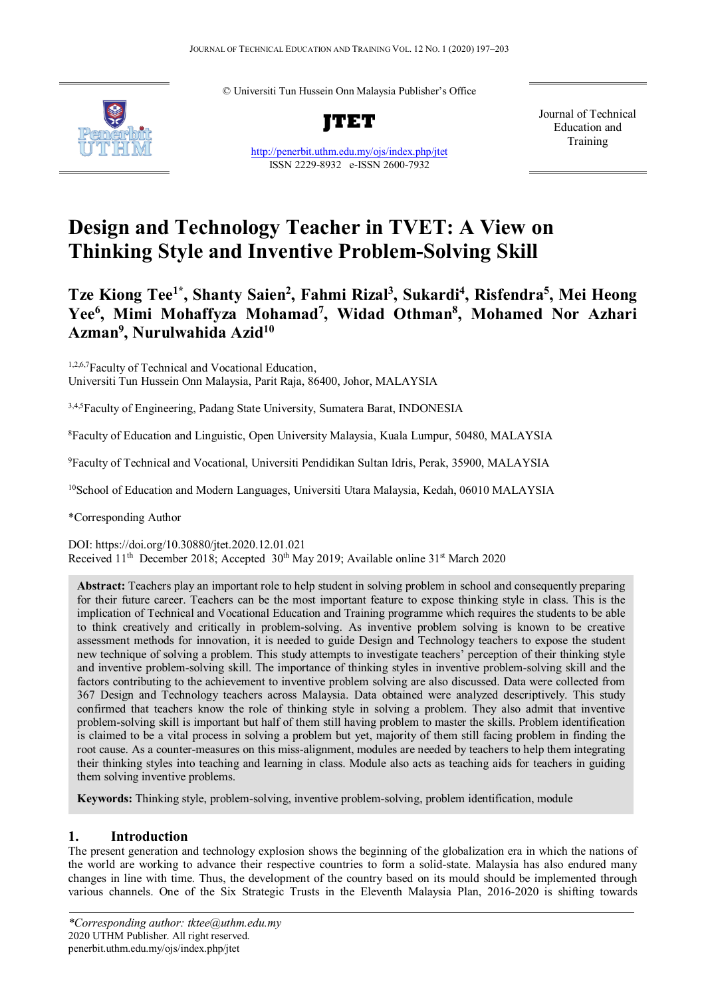© Universiti Tun Hussein Onn Malaysia Publisher's Office



**JTET**

<http://penerbit.uthm.edu.my/ojs/index.php/jtet> ISSN 2229-8932 e-ISSN 2600-7932

Journal of Technical Education and Training

# **Design and Technology Teacher in TVET: A View on Thinking Style and Inventive Problem-Solving Skill**

# **Tze Kiong Tee1\* , Shanty Saien2 , Fahmi Rizal3 , Sukardi4 , Risfendra5 , Mei Heong Yee6 , Mimi Mohaffyza Mohamad7 , Widad Othman8 , Mohamed Nor Azhari Azman9 , Nurulwahida Azid10**

<sup>1,2,6,7</sup>Faculty of Technical and Vocational Education, Universiti Tun Hussein Onn Malaysia, Parit Raja, 86400, Johor, MALAYSIA

<sup>3,4,5</sup>Faculty of Engineering, Padang State University, Sumatera Barat, INDONESIA

8 Faculty of Education and Linguistic, Open University Malaysia, Kuala Lumpur, 50480, MALAYSIA

9 Faculty of Technical and Vocational, Universiti Pendidikan Sultan Idris, Perak, 35900, MALAYSIA

<sup>10</sup>School of Education and Modern Languages, Universiti Utara Malaysia, Kedah, 06010 MALAYSIA

\*Corresponding Author

DOI: https://doi.org/10.30880/jtet.2020.12.01.021 Received 11<sup>th</sup> December 2018; Accepted 30<sup>th</sup> May 2019; Available online 31<sup>st</sup> March 2020

**Abstract:** Teachers play an important role to help student in solving problem in school and consequently preparing for their future career. Teachers can be the most important feature to expose thinking style in class. This is the implication of Technical and Vocational Education and Training programme which requires the students to be able to think creatively and critically in problem-solving. As inventive problem solving is known to be creative assessment methods for innovation, it is needed to guide Design and Technology teachers to expose the student new technique of solving a problem. This study attempts to investigate teachers' perception of their thinking style and inventive problem-solving skill. The importance of thinking styles in inventive problem-solving skill and the factors contributing to the achievement to inventive problem solving are also discussed. Data were collected from 367 Design and Technology teachers across Malaysia. Data obtained were analyzed descriptively. This study confirmed that teachers know the role of thinking style in solving a problem. They also admit that inventive problem-solving skill is important but half of them still having problem to master the skills. Problem identification is claimed to be a vital process in solving a problem but yet, majority of them still facing problem in finding the root cause. As a counter-measures on this miss-alignment, modules are needed by teachers to help them integrating their thinking styles into teaching and learning in class. Module also acts as teaching aids for teachers in guiding them solving inventive problems.

**Keywords:** Thinking style, problem-solving, inventive problem-solving, problem identification, module

# **1. Introduction**

The present generation and technology explosion shows the beginning of the globalization era in which the nations of the world are working to advance their respective countries to form a solid-state. Malaysia has also endured many changes in line with time. Thus, the development of the country based on its mould should be implemented through various channels. One of the Six Strategic Trusts in the Eleventh Malaysia Plan, 2016-2020 is shifting towards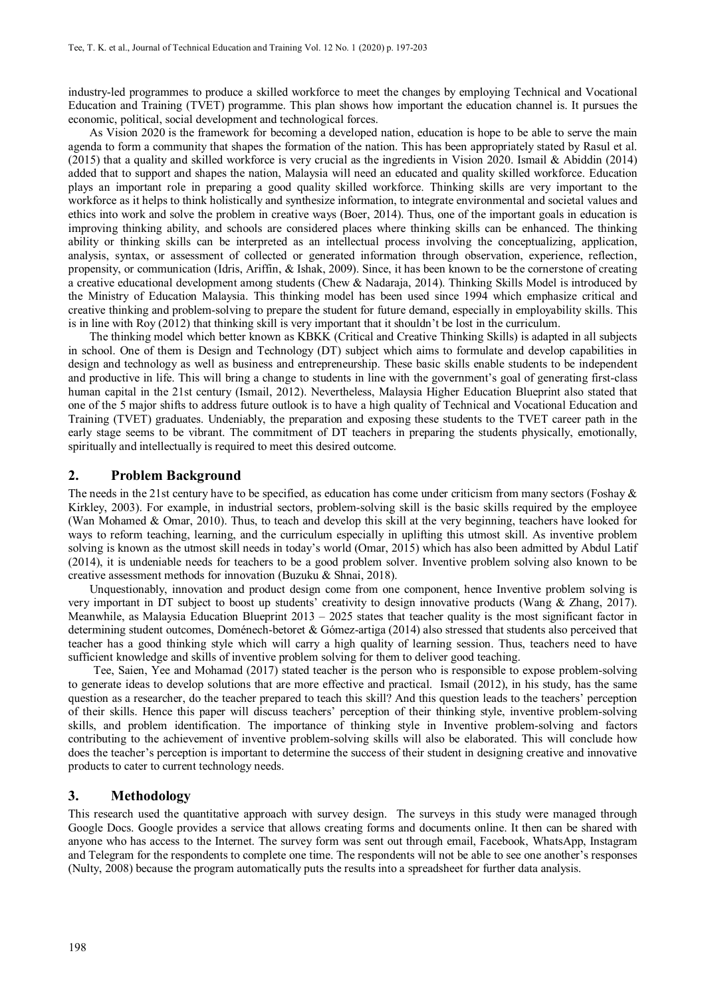industry-led programmes to produce a skilled workforce to meet the changes by employing Technical and Vocational Education and Training (TVET) programme. This plan shows how important the education channel is. It pursues the economic, political, social development and technological forces.

As Vision 2020 is the framework for becoming a developed nation, education is hope to be able to serve the main agenda to form a community that shapes the formation of the nation. This has been appropriately stated by Rasul et al. (2015) that a quality and skilled workforce is very crucial as the ingredients in Vision 2020. Ismail & Abiddin (2014) added that to support and shapes the nation, Malaysia will need an educated and quality skilled workforce. Education plays an important role in preparing a good quality skilled workforce. Thinking skills are very important to the workforce as it helps to think holistically and synthesize information, to integrate environmental and societal values and ethics into work and solve the problem in creative ways (Boer, 2014). Thus, one of the important goals in education is improving thinking ability, and schools are considered places where thinking skills can be enhanced. The thinking ability or thinking skills can be interpreted as an intellectual process involving the conceptualizing, application, analysis, syntax, or assessment of collected or generated information through observation, experience, reflection, propensity, or communication (Idris, Ariffin, & Ishak, 2009). Since, it has been known to be the cornerstone of creating a creative educational development among students (Chew & Nadaraja, 2014). Thinking Skills Model is introduced by the Ministry of Education Malaysia. This thinking model has been used since 1994 which emphasize critical and creative thinking and problem-solving to prepare the student for future demand, especially in employability skills. This is in line with Roy (2012) that thinking skill is very important that it shouldn't be lost in the curriculum.

The thinking model which better known as KBKK (Critical and Creative Thinking Skills) is adapted in all subjects in school. One of them is Design and Technology (DT) subject which aims to formulate and develop capabilities in design and technology as well as business and entrepreneurship. These basic skills enable students to be independent and productive in life. This will bring a change to students in line with the government's goal of generating first-class human capital in the 21st century (Ismail, 2012). Nevertheless, Malaysia Higher Education Blueprint also stated that one of the 5 major shifts to address future outlook is to have a high quality of Technical and Vocational Education and Training (TVET) graduates. Undeniably, the preparation and exposing these students to the TVET career path in the early stage seems to be vibrant. The commitment of DT teachers in preparing the students physically, emotionally, spiritually and intellectually is required to meet this desired outcome.

#### **2. Problem Background**

The needs in the 21st century have to be specified, as education has come under criticism from many sectors (Foshay  $\&$ Kirkley, 2003). For example, in industrial sectors, problem-solving skill is the basic skills required by the employee (Wan Mohamed & Omar, 2010). Thus, to teach and develop this skill at the very beginning, teachers have looked for ways to reform teaching, learning, and the curriculum especially in uplifting this utmost skill. As inventive problem solving is known as the utmost skill needs in today's world (Omar, 2015) which has also been admitted by Abdul Latif (2014), it is undeniable needs for teachers to be a good problem solver. Inventive problem solving also known to be creative assessment methods for innovation (Buzuku & Shnai, 2018).

Unquestionably, innovation and product design come from one component, hence Inventive problem solving is very important in DT subject to boost up students' creativity to design innovative products (Wang & Zhang, 2017). Meanwhile, as Malaysia Education Blueprint  $2013 - 2025$  states that teacher quality is the most significant factor in determining student outcomes, Doménech-betoret & Gómez-artiga (2014) also stressed that students also perceived that teacher has a good thinking style which will carry a high quality of learning session. Thus, teachers need to have sufficient knowledge and skills of inventive problem solving for them to deliver good teaching.

Tee, Saien, Yee and Mohamad (2017) stated teacher is the person who is responsible to expose problem-solving to generate ideas to develop solutions that are more effective and practical. Ismail (2012), in his study, has the same question as a researcher, do the teacher prepared to teach this skill? And this question leads to the teachers' perception of their skills. Hence this paper will discuss teachers' perception of their thinking style, inventive problem-solving skills, and problem identification. The importance of thinking style in Inventive problem-solving and factors contributing to the achievement of inventive problem-solving skills will also be elaborated. This will conclude how does the teacher's perception is important to determine the success of their student in designing creative and innovative products to cater to current technology needs.

## **3. Methodology**

This research used the quantitative approach with survey design. The surveys in this study were managed through Google Docs. Google provides a service that allows creating forms and documents online. It then can be shared with anyone who has access to the Internet. The survey form was sent out through email, Facebook, WhatsApp, Instagram and Telegram for the respondents to complete one time. The respondents will not be able to see one another's responses (Nulty, 2008) because the program automatically puts the results into a spreadsheet for further data analysis.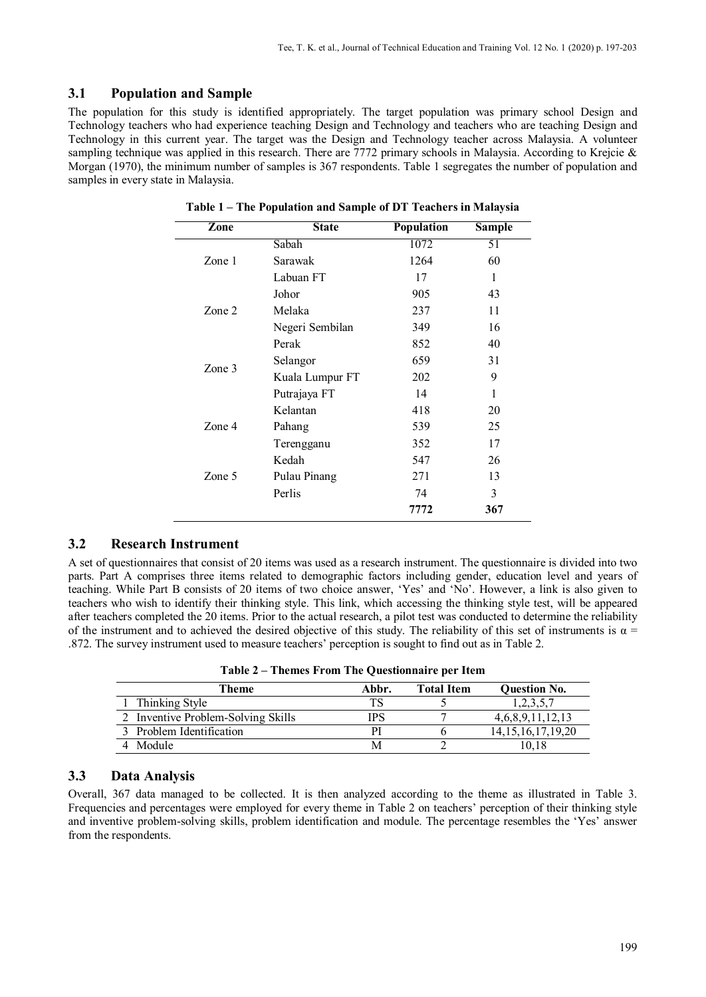# **3.1 Population and Sample**

The population for this study is identified appropriately. The target population was primary school Design and Technology teachers who had experience teaching Design and Technology and teachers who are teaching Design and Technology in this current year. The target was the Design and Technology teacher across Malaysia. A volunteer sampling technique was applied in this research. There are 7772 primary schools in Malaysia. According to Krejcie  $\&$ Morgan (1970), the minimum number of samples is 367 respondents. Table 1 segregates the number of population and samples in every state in Malaysia.

| Zone     | <b>State</b>    | <b>Population</b> | <b>Sample</b> |
|----------|-----------------|-------------------|---------------|
|          | Sabah           | 1072              | 51            |
| Zone 1   | Sarawak         | 1264              | 60            |
|          | Labuan FT       | 17                | 1             |
|          | Johor           | 905               | 43            |
| Zone 2   | Melaka          | 237               | 11            |
|          | Negeri Sembilan | 349               | 16            |
|          | Perak           | 852               | 40            |
|          | Selangor        | 659               | 31            |
| Zone $3$ | Kuala Lumpur FT | 202               | 9             |
|          | Putrajaya FT    | 14                | 1             |
|          | Kelantan        | 418               | 20            |
| Zone 4   | Pahang          | 539               | 25            |
|          | Terengganu      | 352               | 17            |
|          | Kedah           | 547               | 26            |
| Zone 5   | Pulau Pinang    | 271               | 13            |
|          | Perlis          | 74                | 3             |
|          |                 | 7772              | 367           |

**Table 1 – The Population and Sample of DT Teachers in Malaysia**

# **3.2 Research Instrument**

A set of questionnaires that consist of 20 items was used as a research instrument. The questionnaire is divided into two parts. Part A comprises three items related to demographic factors including gender, education level and years of teaching. While Part B consists of 20 items of two choice answer, 'Yes' and 'No'. However, a link is also given to teachers who wish to identify their thinking style. This link, which accessing the thinking style test, will be appeared after teachers completed the 20 items. Prior to the actual research, a pilot test was conducted to determine the reliability of the instrument and to achieved the desired objective of this study. The reliability of this set of instruments is  $\alpha$  = .872. The survey instrument used to measure teachers' perception is sought to find out as in Table 2.

| $1400 \times 2$ Themes 110m The Questionnan e per frem |       |                   |                        |  |  |  |  |  |
|--------------------------------------------------------|-------|-------------------|------------------------|--|--|--|--|--|
| Theme                                                  | Abbr. | <b>Total Item</b> | <b>Ouestion No.</b>    |  |  |  |  |  |
| 1 Thinking Style                                       | тs    |                   | 1,2,3,5,7              |  |  |  |  |  |
| 2 Inventive Problem-Solving Skills                     | IPS   |                   | 4,6,8,9,11,12,13       |  |  |  |  |  |
| 3 Problem Identification                               | D.    |                   | 14, 15, 16, 17, 19, 20 |  |  |  |  |  |
| 4 Module                                               |       |                   | l 0.18                 |  |  |  |  |  |

**Table 2 – Themes From The Questionnaire per Item**

# **3.3 Data Analysis**

Overall, 367 data managed to be collected. It is then analyzed according to the theme as illustrated in Table 3. Frequencies and percentages were employed for every theme in Table 2 on teachers' perception of their thinking style and inventive problem-solving skills, problem identification and module. The percentage resembles the 'Yes' answer from the respondents.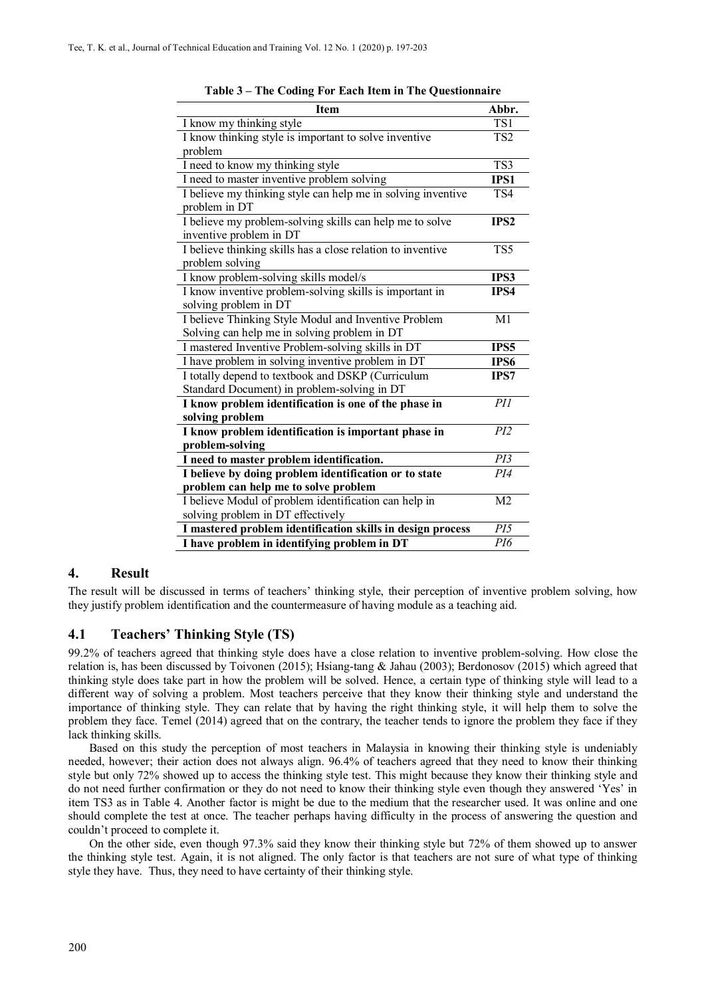| <b>Item</b>                                                  | Abbr.            |
|--------------------------------------------------------------|------------------|
| I know my thinking style                                     | TS1              |
| I know thinking style is important to solve inventive        | TS <sub>2</sub>  |
| problem                                                      |                  |
| I need to know my thinking style                             | TS3              |
| I need to master inventive problem solving                   | IPS1             |
| I believe my thinking style can help me in solving inventive | TS4              |
| problem in DT                                                |                  |
| I believe my problem-solving skills can help me to solve     | IPS <sub>2</sub> |
| inventive problem in DT                                      |                  |
| I believe thinking skills has a close relation to inventive  | TS5              |
| problem solving                                              |                  |
| I know problem-solving skills model/s                        | IPS3             |
| I know inventive problem-solving skills is important in      | IPS4             |
| solving problem in DT                                        |                  |
| I believe Thinking Style Modul and Inventive Problem         | M1               |
| Solving can help me in solving problem in DT                 |                  |
| I mastered Inventive Problem-solving skills in DT            | IPS5             |
| I have problem in solving inventive problem in DT            | IPS6             |
| I totally depend to textbook and DSKP (Curriculum            | IPS7             |
| Standard Document) in problem-solving in DT                  |                  |
| I know problem identification is one of the phase in         | PII              |
| solving problem                                              |                  |
| I know problem identification is important phase in          | PI2              |
| problem-solving                                              |                  |
| I need to master problem identification.                     | PI3              |
| I believe by doing problem identification or to state        | PI4              |
| problem can help me to solve problem                         |                  |
| I believe Modul of problem identification can help in        | M <sub>2</sub>   |
| solving problem in DT effectively                            |                  |
| I mastered problem identification skills in design process   | PI5              |
| I have problem in identifying problem in DT                  | PI6              |

**Table 3 – The Coding For Each Item in The Questionnaire**

#### **4. Result**

The result will be discussed in terms of teachers' thinking style, their perception of inventive problem solving, how they justify problem identification and the countermeasure of having module as a teaching aid.

#### **4.1 Teachers' Thinking Style (TS)**

99.2% of teachers agreed that thinking style does have a close relation to inventive problem-solving. How close the relation is, has been discussed by Toivonen (2015); Hsiang-tang & Jahau (2003); Berdonosov (2015) which agreed that thinking style does take part in how the problem will be solved. Hence, a certain type of thinking style will lead to a different way of solving a problem. Most teachers perceive that they know their thinking style and understand the importance of thinking style. They can relate that by having the right thinking style, it will help them to solve the problem they face. Temel (2014) agreed that on the contrary, the teacher tends to ignore the problem they face if they lack thinking skills.

Based on this study the perception of most teachers in Malaysia in knowing their thinking style is undeniably needed, however; their action does not always align. 96.4% of teachers agreed that they need to know their thinking style but only 72% showed up to access the thinking style test. This might because they know their thinking style and do not need further confirmation or they do not need to know their thinking style even though they answered 'Yes' in item TS3 as in Table 4. Another factor is might be due to the medium that the researcher used. It was online and one should complete the test at once. The teacher perhaps having difficulty in the process of answering the question and couldn't proceed to complete it.

On the other side, even though 97.3% said they know their thinking style but 72% of them showed up to answer the thinking style test. Again, it is not aligned. The only factor is that teachers are not sure of what type of thinking style they have. Thus, they need to have certainty of their thinking style.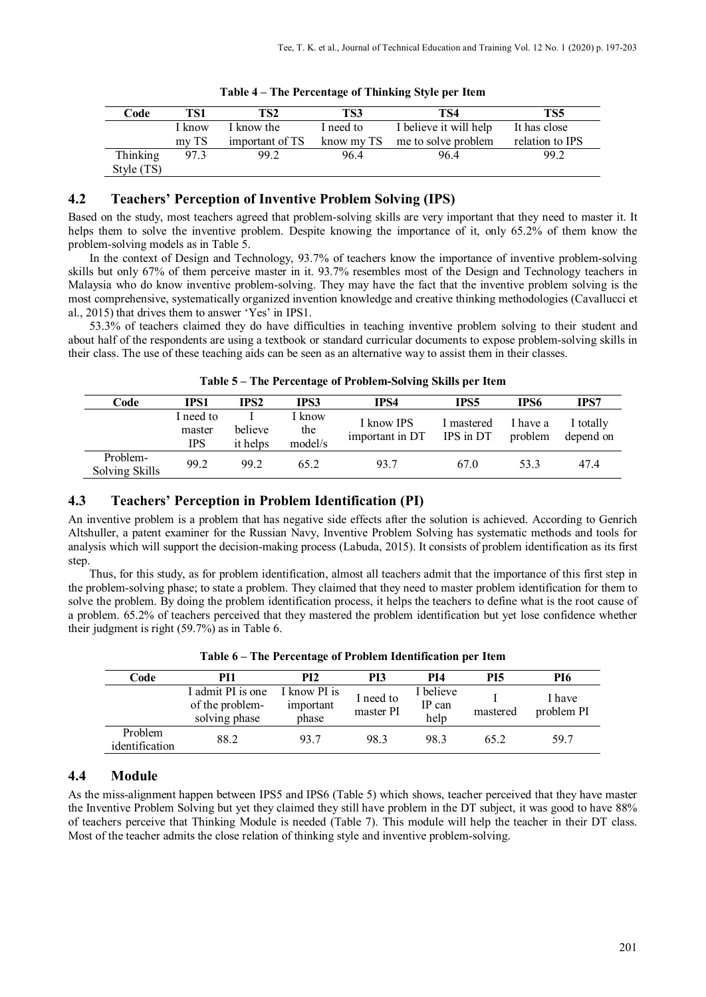| Code       | TS1    | TS2             | TS3       | TS4                            | TS5             |
|------------|--------|-----------------|-----------|--------------------------------|-----------------|
|            | I know | I know the      | I need to | I believe it will help         | It has close    |
|            | mvTS   | important of TS |           | know my TS me to solve problem | relation to IPS |
| Thinking   | 97.3   | 99.2            | 96.4      | 96.4                           | 99.2            |
| Style (TS) |        |                 |           |                                |                 |

**Table 4 – The Percentage of Thinking Style per Item**

# **4.2 Teachers' Perception of Inventive Problem Solving (IPS)**

Based on the study, most teachers agreed that problem-solving skills are very important that they need to master it. It helps them to solve the inventive problem. Despite knowing the importance of it, only 65.2% of them know the problem-solving models as in Table 5.

In the context of Design and Technology, 93.7% of teachers know the importance of inventive problem-solving skills but only 67% of them perceive master in it. 93.7% resembles most of the Design and Technology teachers in Malaysia who do know inventive problem-solving. They may have the fact that the inventive problem solving is the most comprehensive, systematically organized invention knowledge and creative thinking methodologies (Cavallucci et al., 2015) that drives them to answer 'Yes' in IPS1.

53.3% of teachers claimed they do have difficulties in teaching inventive problem solving to their student and about half of the respondents are using a textbook or standard curricular documents to expose problem-solving skills in their class. The use of these teaching aids can be seen as an alternative way to assist them in their classes.

|  |  | Table 5 – The Percentage of Problem-Solving Skills per Item |  |  |  |  |  |  |  |
|--|--|-------------------------------------------------------------|--|--|--|--|--|--|--|
|--|--|-------------------------------------------------------------|--|--|--|--|--|--|--|

| Code                       | IPS1                              | IPS2                | IPS3                     | IPS4                          | <b>IPS5</b>             | IPS6                | IPS7                   |
|----------------------------|-----------------------------------|---------------------|--------------------------|-------------------------------|-------------------------|---------------------|------------------------|
|                            | I need to<br>master<br><b>IPS</b> | believe<br>it helps | 1 know<br>the<br>model/s | I know IPS<br>important in DT | I mastered<br>IPS in DT | I have a<br>problem | I totally<br>depend on |
| Problem-<br>Solving Skills | 99.2                              | 99.2                | 65.2                     | 93.7                          | 67.0                    | 53.3                | 47.4                   |

# **4.3 Teachers' Perception in Problem Identification (PI)**

An inventive problem is a problem that has negative side effects after the solution is achieved. According to Genrich Altshuller, a patent examiner for the Russian Navy, Inventive Problem Solving has systematic methods and tools for analysis which will support the decision-making process (Labuda, 2015). It consists of problem identification as its first step.

Thus, for this study, as for problem identification, almost all teachers admit that the importance of this first step in the problem-solving phase; to state a problem. They claimed that they need to master problem identification for them to solve the problem. By doing the problem identification process, it helps the teachers to define what is the root cause of a problem. 65.2% of teachers perceived that they mastered the problem identification but yet lose confidence whether their judgment is right (59.7%) as in Table 6.

| Code                      | PI1                                                   | PI <sub>2</sub>                    | PI3                    | PI4                         | PI5      | PI6                  |  |  |
|---------------------------|-------------------------------------------------------|------------------------------------|------------------------|-----------------------------|----------|----------------------|--|--|
|                           | I admit PI is one<br>of the problem-<br>solving phase | I know PI is<br>important<br>phase | I need to<br>master PI | I believe<br>IP can<br>help | mastered | I have<br>problem PI |  |  |
| Problem<br>identification | 88.2                                                  | 93.7                               | 98.3                   | 98.3                        | 65.2     | 59.7                 |  |  |

**Table 6 – The Percentage of Problem Identification per Item**

# **4.4 Module**

As the miss-alignment happen between IPS5 and IPS6 (Table 5) which shows, teacher perceived that they have master the Inventive Problem Solving but yet they claimed they still have problem in the DT subject, it was good to have 88% of teachers perceive that Thinking Module is needed (Table 7). This module will help the teacher in their DT class. Most of the teacher admits the close relation of thinking style and inventive problem-solving.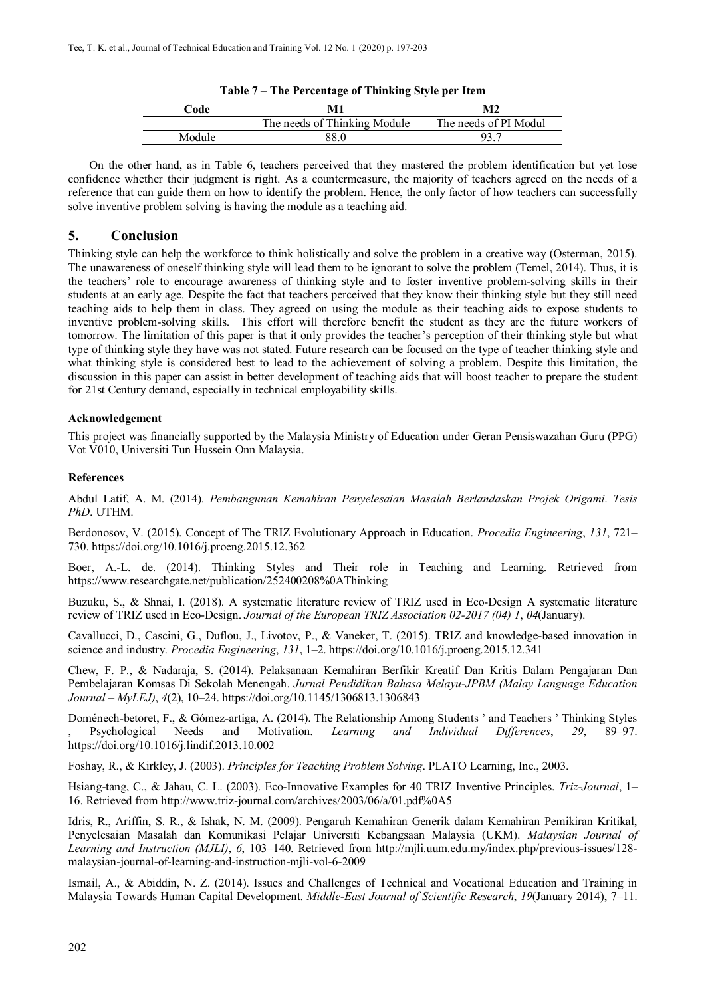| Table / The Percentage of Thinking before per from |                              |                       |  |  |  |  |
|----------------------------------------------------|------------------------------|-----------------------|--|--|--|--|
| Code                                               | M1                           | M2                    |  |  |  |  |
|                                                    | The needs of Thinking Module | The needs of PI Modul |  |  |  |  |
| Module                                             | 88.0                         | 93.                   |  |  |  |  |

| Table 7 – The Percentage of Thinking Style per Item |  |  |  |  |  |
|-----------------------------------------------------|--|--|--|--|--|
|-----------------------------------------------------|--|--|--|--|--|

On the other hand, as in Table 6, teachers perceived that they mastered the problem identification but yet lose confidence whether their judgment is right. As a countermeasure, the majority of teachers agreed on the needs of a reference that can guide them on how to identify the problem. Hence, the only factor of how teachers can successfully solve inventive problem solving is having the module as a teaching aid.

#### **5. Conclusion**

Thinking style can help the workforce to think holistically and solve the problem in a creative way (Osterman, 2015). The unawareness of oneself thinking style will lead them to be ignorant to solve the problem (Temel, 2014). Thus, it is the teachers' role to encourage awareness of thinking style and to foster inventive problem-solving skills in their students at an early age. Despite the fact that teachers perceived that they know their thinking style but they still need teaching aids to help them in class. They agreed on using the module as their teaching aids to expose students to inventive problem-solving skills. This effort will therefore benefit the student as they are the future workers of tomorrow. The limitation of this paper is that it only provides the teacher's perception of their thinking style but what type of thinking style they have was not stated. Future research can be focused on the type of teacher thinking style and what thinking style is considered best to lead to the achievement of solving a problem. Despite this limitation, the discussion in this paper can assist in better development of teaching aids that will boost teacher to prepare the student for 21st Century demand, especially in technical employability skills.

#### **Acknowledgement**

This project was financially supported by the Malaysia Ministry of Education under Geran Pensiswazahan Guru (PPG) Vot V010, Universiti Tun Hussein Onn Malaysia.

#### **References**

Abdul Latif, A. M. (2014). *Pembangunan Kemahiran Penyelesaian Masalah Berlandaskan Projek Origami*. *Tesis PhD*. UTHM.

Berdonosov, V. (2015). Concept of The TRIZ Evolutionary Approach in Education. *Procedia Engineering*, *131*, 721– 730. https://doi.org/10.1016/j.proeng.2015.12.362

Boer, A.-L. de. (2014). Thinking Styles and Their role in Teaching and Learning. Retrieved from https://www.researchgate.net/publication/252400208%0AThinking

Buzuku, S., & Shnai, I. (2018). A systematic literature review of TRIZ used in Eco-Design A systematic literature review of TRIZ used in Eco-Design. *Journal of the European TRIZ Association 02-2017 (04) 1*, *04*(January).

Cavallucci, D., Cascini, G., Duflou, J., Livotov, P., & Vaneker, T. (2015). TRIZ and knowledge-based innovation in science and industry. *Procedia Engineering*, *131*, 1–2. https://doi.org/10.1016/j.proeng.2015.12.341

Chew, F. P., & Nadaraja, S. (2014). Pelaksanaan Kemahiran Berfikir Kreatif Dan Kritis Dalam Pengajaran Dan Pembelajaran Komsas Di Sekolah Menengah. *Jurnal Pendidikan Bahasa Melayu-JPBM (Malay Language Education Journal – MyLEJ)*, *4*(2), 10–24. https://doi.org/10.1145/1306813.1306843

Doménech-betoret, F., & Gómez-artiga, A. (2014). The Relationship Among Students ' and Teachers ' Thinking Styles , Psychological Needs and Motivation. *Learning and Individual Differences*, *29*, 89–97. https://doi.org/10.1016/j.lindif.2013.10.002

Foshay, R., & Kirkley, J. (2003). *Principles for Teaching Problem Solving*. PLATO Learning, Inc., 2003.

Hsiang-tang, C., & Jahau, C. L. (2003). Eco-Innovative Examples for 40 TRIZ Inventive Principles. *Triz-Journal*, 1– 16. Retrieved from http://www.triz-journal.com/archives/2003/06/a/01.pdf%0A5

Idris, R., Ariffin, S. R., & Ishak, N. M. (2009). Pengaruh Kemahiran Generik dalam Kemahiran Pemikiran Kritikal, Penyelesaian Masalah dan Komunikasi Pelajar Universiti Kebangsaan Malaysia (UKM). *Malaysian Journal of Learning and Instruction (MJLI)*, *6*, 103–140. Retrieved from http://mjli.uum.edu.my/index.php/previous-issues/128 malaysian-journal-of-learning-and-instruction-mjli-vol-6-2009

Ismail, A., & Abiddin, N. Z. (2014). Issues and Challenges of Technical and Vocational Education and Training in Malaysia Towards Human Capital Development. *Middle-East Journal of Scientific Research*, *19*(January 2014), 7–11.